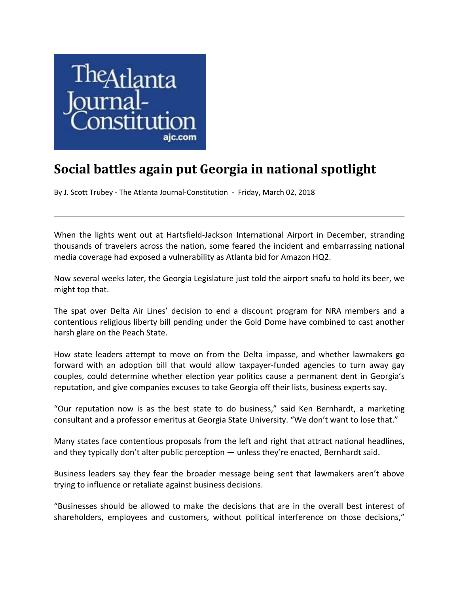

## **Social battles again put Georgia in national spotlight**

By J. Scott Trubey - The Atlanta Journal-Constitution - Friday, March 02, 2018

When the lights went out at Hartsfield-Jackson International Airport in December, stranding thousands of travelers across the nation, some feared the incident and embarrassing national media coverage had exposed a vulnerability as Atlanta bid for Amazon HQ2.

Now several weeks later, the Georgia Legislature just told the airport snafu to hold its beer, we might top that.

The spat over Delta Air Lines' decision to end a discount program for NRA members and a contentious religious liberty bill pending under the Gold Dome have combined to cast another harsh glare on the Peach State.

How state leaders attempt to move on from the Delta impasse, and whether lawmakers go forward with an adoption bill that would allow taxpayer‐funded agencies to turn away gay couples, could determine whether election year politics cause a permanent dent in Georgia's reputation, and give companies excuses to take Georgia off their lists, business experts say.

"Our reputation now is as the best state to do business," said Ken Bernhardt, a marketing consultant and a professor emeritus at Georgia State University. "We don't want to lose that."

Many states face contentious proposals from the left and right that attract national headlines, and they typically don't alter public perception — unless they're enacted, Bernhardt said.

Business leaders say they fear the broader message being sent that lawmakers aren't above trying to influence or retaliate against business decisions.

"Businesses should be allowed to make the decisions that are in the overall best interest of shareholders, employees and customers, without political interference on those decisions,"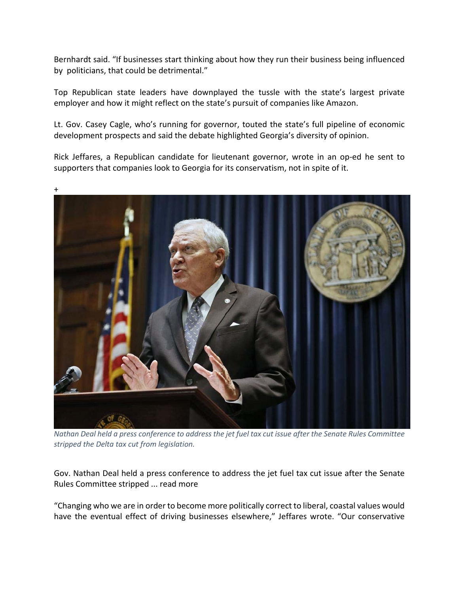Bernhardt said. "If businesses start thinking about how they run their business being influenced by politicians, that could be detrimental."

Top Republican state leaders have downplayed the tussle with the state's largest private employer and how it might reflect on the state's pursuit of companies like Amazon.

Lt. Gov. Casey Cagle, who's running for governor, touted the state's full pipeline of economic development prospects and said the debate highlighted Georgia's diversity of opinion.

Rick Jeffares, a Republican candidate for lieutenant governor, wrote in an op‐ed he sent to supporters that companies look to Georgia for its conservatism, not in spite of it.



Nathan Deal held a press conference to address the jet fuel tax cut issue after the Senate Rules Committee *stripped the Delta tax cut from legislation.*

Gov. Nathan Deal held a press conference to address the jet fuel tax cut issue after the Senate Rules Committee stripped ... read more

"Changing who we are in order to become more politically correct to liberal, coastal values would have the eventual effect of driving businesses elsewhere," Jeffares wrote. "Our conservative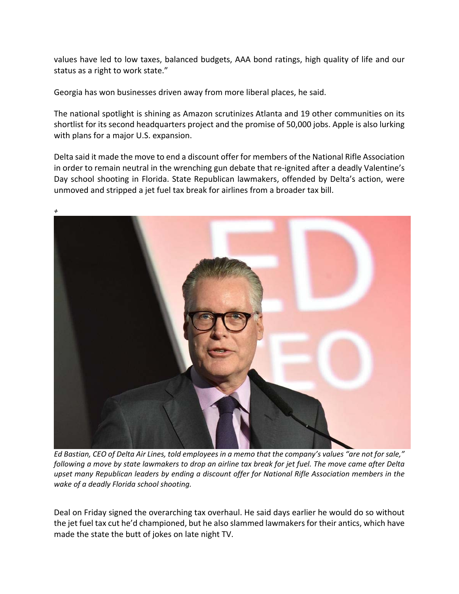values have led to low taxes, balanced budgets, AAA bond ratings, high quality of life and our status as a right to work state."

Georgia has won businesses driven away from more liberal places, he said.

The national spotlight is shining as Amazon scrutinizes Atlanta and 19 other communities on its shortlist for its second headquarters project and the promise of 50,000 jobs. Apple is also lurking with plans for a major U.S. expansion.

Delta said it made the move to end a discount offer for members of the National Rifle Association in order to remain neutral in the wrenching gun debate that re-ignited after a deadly Valentine's Day school shooting in Florida. State Republican lawmakers, offended by Delta's action, were unmoved and stripped a jet fuel tax break for airlines from a broader tax bill.



Ed Bastian, CEO of Delta Air Lines, told employees in a memo that the company's values "are not for sale," following a move by state lawmakers to drop an airline tax break for jet fuel. The move came after Delta *upset many Republican leaders by ending a discount offer for National Rifle Association members in the wake of a deadly Florida school shooting.*

Deal on Friday signed the overarching tax overhaul. He said days earlier he would do so without the jet fuel tax cut he'd championed, but he also slammed lawmakersfor their antics, which have made the state the butt of jokes on late night TV.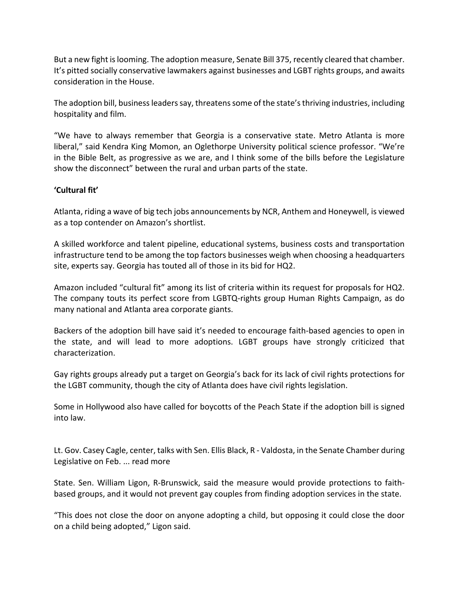But a new fight islooming. The adoption measure, Senate Bill 375, recently cleared that chamber. It's pitted socially conservative lawmakers against businesses and LGBT rights groups, and awaits consideration in the House.

The adoption bill, business leaders say, threatens some of the state's thriving industries, including hospitality and film.

"We have to always remember that Georgia is a conservative state. Metro Atlanta is more liberal," said Kendra King Momon, an Oglethorpe University political science professor. "We're in the Bible Belt, as progressive as we are, and I think some of the bills before the Legislature show the disconnect" between the rural and urban parts of the state.

## **'Cultural fit'**

Atlanta, riding a wave of big tech jobs announcements by NCR, Anthem and Honeywell, is viewed as a top contender on Amazon's shortlist.

A skilled workforce and talent pipeline, educational systems, business costs and transportation infrastructure tend to be among the top factors businesses weigh when choosing a headquarters site, experts say. Georgia has touted all of those in its bid for HQ2.

Amazon included "cultural fit" among its list of criteria within its request for proposals for HQ2. The company touts its perfect score from LGBTQ‐rights group Human Rights Campaign, as do many national and Atlanta area corporate giants.

Backers of the adoption bill have said it's needed to encourage faith‐based agencies to open in the state, and will lead to more adoptions. LGBT groups have strongly criticized that characterization.

Gay rights groups already put a target on Georgia's back for its lack of civil rights protections for the LGBT community, though the city of Atlanta does have civil rights legislation.

Some in Hollywood also have called for boycotts of the Peach State if the adoption bill is signed into law.

Lt. Gov. Casey Cagle, center, talks with Sen. Ellis Black, R ‐ Valdosta, in the Senate Chamber during Legislative on Feb. ... read more

State. Sen. William Ligon, R‐Brunswick, said the measure would provide protections to faith‐ based groups, and it would not prevent gay couples from finding adoption services in the state.

"This does not close the door on anyone adopting a child, but opposing it could close the door on a child being adopted," Ligon said.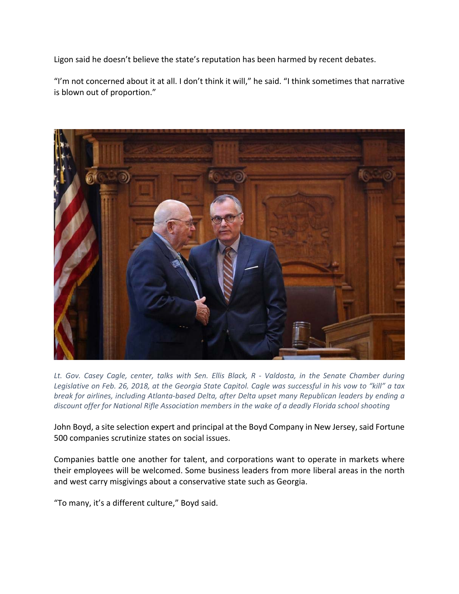Ligon said he doesn't believe the state's reputation has been harmed by recent debates.

"I'm not concerned about it at all. I don't think it will," he said. "I think sometimes that narrative is blown out of proportion."



Lt. Gov. Casey Cagle, center, talks with Sen. Ellis Black, R - Valdosta, in the Senate Chamber during Legislative on Feb. 26, 2018, at the Georgia State Capitol. Cagle was successful in his vow to "kill" a tax *break for airlines, including Atlanta‐based Delta, after Delta upset many Republican leaders by ending a discount offer for National Rifle Association members in the wake of a deadly Florida school shooting*

John Boyd, a site selection expert and principal at the Boyd Company in New Jersey, said Fortune 500 companies scrutinize states on social issues.

Companies battle one another for talent, and corporations want to operate in markets where their employees will be welcomed. Some business leaders from more liberal areas in the north and west carry misgivings about a conservative state such as Georgia.

"To many, it's a different culture," Boyd said.